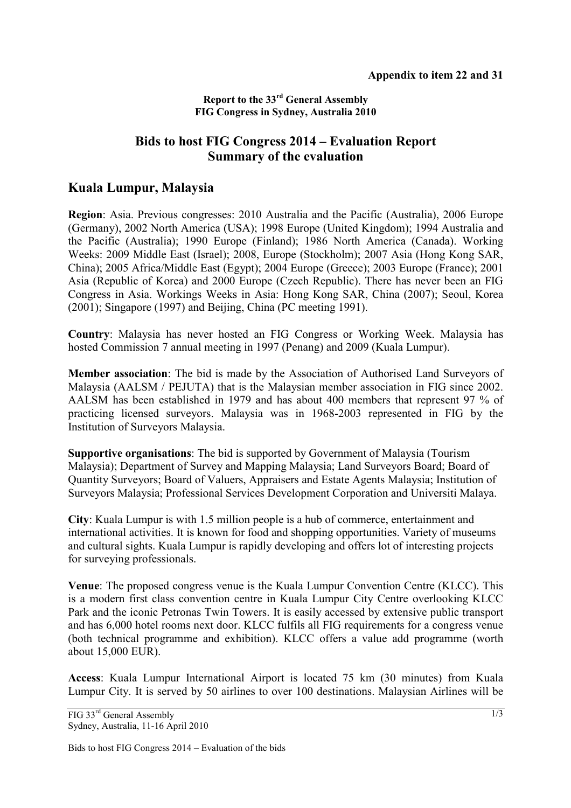## **Report to the 33rd General Assembly FIG Congress in Sydney, Australia 2010**

## **Bids to host FIG Congress 2014 – Evaluation Report Summary of the evaluation**

## **Kuala Lumpur, Malaysia**

**Region**: Asia. Previous congresses: 2010 Australia and the Pacific (Australia), 2006 Europe (Germany), 2002 North America (USA); 1998 Europe (United Kingdom); 1994 Australia and the Pacific (Australia); 1990 Europe (Finland); 1986 North America (Canada). Working Weeks: 2009 Middle East (Israel); 2008, Europe (Stockholm); 2007 Asia (Hong Kong SAR, China); 2005 Africa/Middle East (Egypt); 2004 Europe (Greece); 2003 Europe (France); 2001 Asia (Republic of Korea) and 2000 Europe (Czech Republic). There has never been an FIG Congress in Asia. Workings Weeks in Asia: Hong Kong SAR, China (2007); Seoul, Korea (2001); Singapore (1997) and Beijing, China (PC meeting 1991).

**Country**: Malaysia has never hosted an FIG Congress or Working Week. Malaysia has hosted Commission 7 annual meeting in 1997 (Penang) and 2009 (Kuala Lumpur).

**Member association**: The bid is made by the Association of Authorised Land Surveyors of Malaysia (AALSM / PEJUTA) that is the Malaysian member association in FIG since 2002. AALSM has been established in 1979 and has about 400 members that represent 97 % of practicing licensed surveyors. Malaysia was in 1968-2003 represented in FIG by the Institution of Surveyors Malaysia.

**Supportive organisations**: The bid is supported by Government of Malaysia (Tourism Malaysia); Department of Survey and Mapping Malaysia; Land Surveyors Board; Board of Quantity Surveyors; Board of Valuers, Appraisers and Estate Agents Malaysia; Institution of Surveyors Malaysia; Professional Services Development Corporation and Universiti Malaya.

**City**: Kuala Lumpur is with 1.5 million people is a hub of commerce, entertainment and international activities. It is known for food and shopping opportunities. Variety of museums and cultural sights. Kuala Lumpur is rapidly developing and offers lot of interesting projects for surveying professionals.

**Venue**: The proposed congress venue is the Kuala Lumpur Convention Centre (KLCC). This is a modern first class convention centre in Kuala Lumpur City Centre overlooking KLCC Park and the iconic Petronas Twin Towers. It is easily accessed by extensive public transport and has 6,000 hotel rooms next door. KLCC fulfils all FIG requirements for a congress venue (both technical programme and exhibition). KLCC offers a value add programme (worth about 15,000 EUR).

**Access**: Kuala Lumpur International Airport is located 75 km (30 minutes) from Kuala Lumpur City. It is served by 50 airlines to over 100 destinations. Malaysian Airlines will be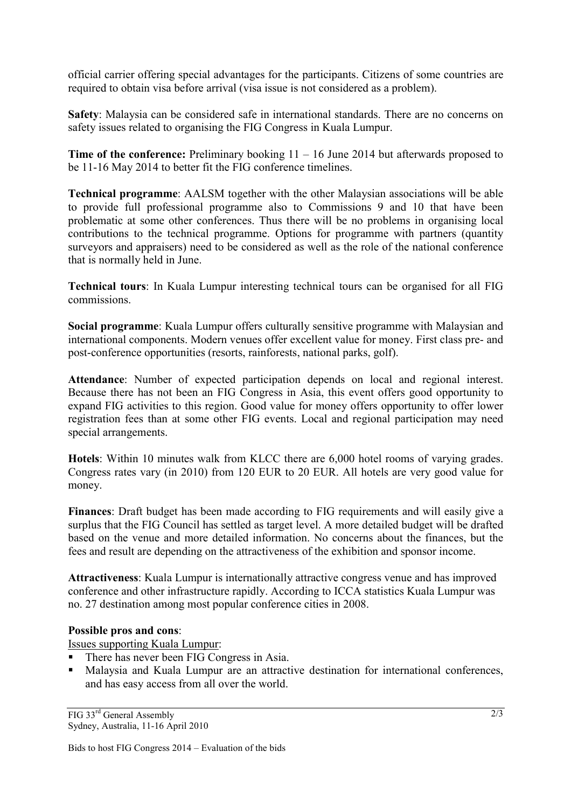official carrier offering special advantages for the participants. Citizens of some countries are required to obtain visa before arrival (visa issue is not considered as a problem).

**Safety**: Malaysia can be considered safe in international standards. There are no concerns on safety issues related to organising the FIG Congress in Kuala Lumpur.

**Time of the conference:** Preliminary booking 11 – 16 June 2014 but afterwards proposed to be 11-16 May 2014 to better fit the FIG conference timelines.

**Technical programme**: AALSM together with the other Malaysian associations will be able to provide full professional programme also to Commissions 9 and 10 that have been problematic at some other conferences. Thus there will be no problems in organising local contributions to the technical programme. Options for programme with partners (quantity surveyors and appraisers) need to be considered as well as the role of the national conference that is normally held in June.

**Technical tours**: In Kuala Lumpur interesting technical tours can be organised for all FIG commissions.

**Social programme**: Kuala Lumpur offers culturally sensitive programme with Malaysian and international components. Modern venues offer excellent value for money. First class pre- and post-conference opportunities (resorts, rainforests, national parks, golf).

**Attendance**: Number of expected participation depends on local and regional interest. Because there has not been an FIG Congress in Asia, this event offers good opportunity to expand FIG activities to this region. Good value for money offers opportunity to offer lower registration fees than at some other FIG events. Local and regional participation may need special arrangements.

**Hotels**: Within 10 minutes walk from KLCC there are 6,000 hotel rooms of varying grades. Congress rates vary (in 2010) from 120 EUR to 20 EUR. All hotels are very good value for money.

**Finances**: Draft budget has been made according to FIG requirements and will easily give a surplus that the FIG Council has settled as target level. A more detailed budget will be drafted based on the venue and more detailed information. No concerns about the finances, but the fees and result are depending on the attractiveness of the exhibition and sponsor income.

**Attractiveness**: Kuala Lumpur is internationally attractive congress venue and has improved conference and other infrastructure rapidly. According to ICCA statistics Kuala Lumpur was no. 27 destination among most popular conference cities in 2008.

## **Possible pros and cons**:

Issues supporting Kuala Lumpur:

- There has never been FIG Congress in Asia.
- Malaysia and Kuala Lumpur are an attractive destination for international conferences, and has easy access from all over the world.

FIG 33rd General Assembly Sydney, Australia, 11-16 April 2010

Bids to host FIG Congress 2014 – Evaluation of the bids